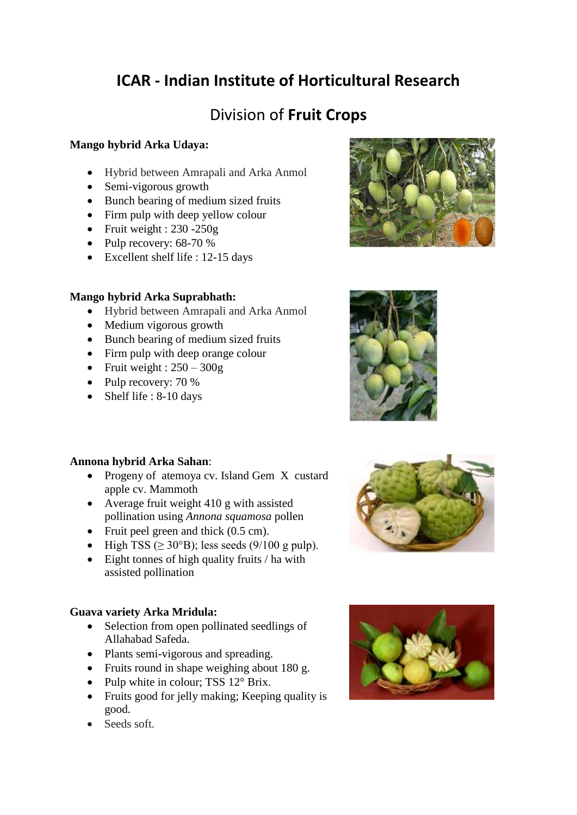# **ICAR - Indian Institute of Horticultural Research**

# Division of **Fruit Crops**

# **Mango hybrid Arka Udaya:**

- Hybrid between Amrapali and Arka Anmol
- Semi-vigorous growth
- Bunch bearing of medium sized fruits
- Firm pulp with deep yellow colour
- Fruit weight :  $230 250g$
- Pulp recovery:  $68-70%$
- Excellent shelf life : 12-15 days

## **Mango hybrid Arka Suprabhath:**

- Hybrid between Amrapali and Arka Anmol
- Medium vigorous growth
- Bunch bearing of medium sized fruits
- Firm pulp with deep orange colour
- Fruit weight :  $250 300g$
- Pulp recovery: 70 %
- Shelf life : 8-10 days

## **Annona hybrid Arka Sahan**:

- Progeny of atemoya cv. Island Gem X custard apple cv. Mammoth
- Average fruit weight 410 g with assisted pollination using *Annona squamosa* pollen
- Fruit peel green and thick (0.5 cm).
- $\bullet$  High TSS ( $\geq$  30°B); less seeds (9/100 g pulp).
- Eight tonnes of high quality fruits / ha with assisted pollination

## **Guava variety Arka Mridula:**

- Selection from open pollinated seedlings of Allahabad Safeda.
- Plants semi-vigorous and spreading.
- Fruits round in shape weighing about 180 g.
- Pulp white in colour; TSS  $12^{\circ}$  Brix.
- Fruits good for jelly making; Keeping quality is good.
- Seeds soft.







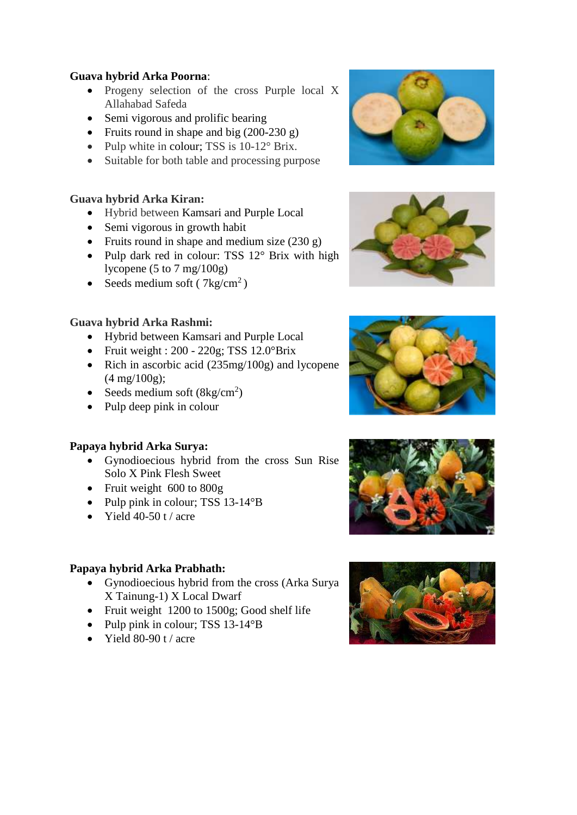#### **Guava hybrid Arka Poorna**:

- Progeny selection of the cross Purple local X Allahabad Safeda
- Semi vigorous and prolific bearing
- Fruits round in shape and big  $(200-230 \text{ g})$
- Pulp white in colour; TSS is 10-12° Brix.
- Suitable for both table and processing purpose

# **Guava hybrid Arka Kiran:**

- Hybrid between Kamsari and Purple Local
- Semi vigorous in growth habit
- Fruits round in shape and medium size  $(230 \text{ g})$
- Pulp dark red in colour: TSS 12° Brix with high lycopene (5 to 7 mg/100g)
- Seeds medium soft ( $7 \text{kg/cm}^2$ )

# **Guava hybrid Arka Rashmi:**

- Hybrid between Kamsari and Purple Local
- Fruit weight :  $200 220g$ ; TSS  $12.0^{\circ}$ Brix
- Rich in ascorbic acid  $(235mg/100g)$  and lycopene (4 mg/100g);
- Seeds medium soft  $(8\text{kg/cm}^2)$
- Pulp deep pink in colour

## **Papaya hybrid Arka Surya:**

- Gynodioecious hybrid from the cross Sun Rise Solo X Pink Flesh Sweet
- Fruit weight 600 to 800g
- Pulp pink in colour; TSS  $13-14^{\circ}B$
- Yield 40-50 t / acre

## **Papaya hybrid Arka Prabhath:**

- Gynodioecious hybrid from the cross (Arka Surya X Tainung-1) X Local Dwarf
- Fruit weight 1200 to 1500g; Good shelf life
- Pulp pink in colour; TSS 13-14°B
- $\bullet$  Yield 80-90 t / acre